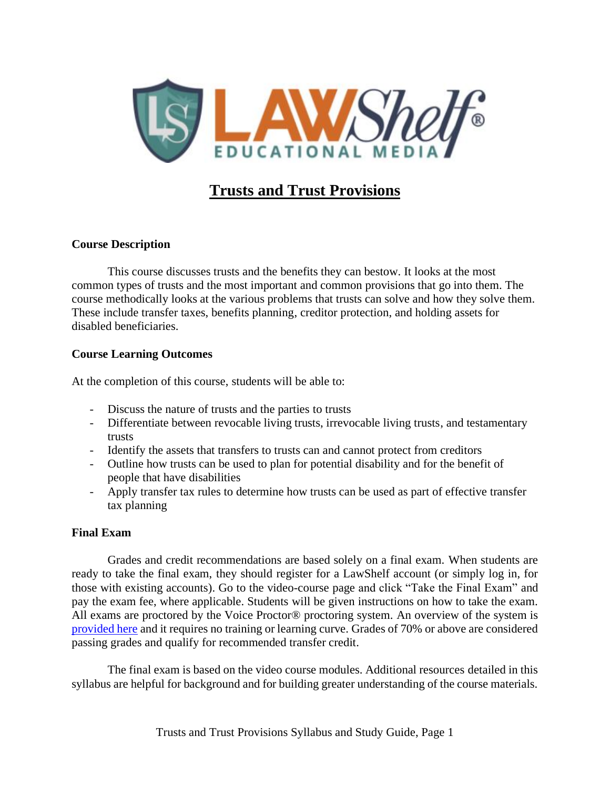

# **Trusts and Trust Provisions**

### **Course Description**

This course discusses trusts and the benefits they can bestow. It looks at the most common types of trusts and the most important and common provisions that go into them. The course methodically looks at the various problems that trusts can solve and how they solve them. These include transfer taxes, benefits planning, creditor protection, and holding assets for disabled beneficiaries.

### **Course Learning Outcomes**

At the completion of this course, students will be able to:

- Discuss the nature of trusts and the parties to trusts
- Differentiate between revocable living trusts, irrevocable living trusts, and testamentary trusts
- Identify the assets that transfers to trusts can and cannot protect from creditors
- Outline how trusts can be used to plan for potential disability and for the benefit of people that have disabilities
- Apply transfer tax rules to determine how trusts can be used as part of effective transfer tax planning

### **Final Exam**

Grades and credit recommendations are based solely on a final exam. When students are ready to take the final exam, they should register for a LawShelf account (or simply log in, for those with existing accounts). Go to the video-course page and click "Take the Final Exam" and pay the exam fee, where applicable. Students will be given instructions on how to take the exam. All exams are proctored by the Voice Proctor<sup>®</sup> proctoring system. An overview of the system is [provided here](https://lawshelf.com/voiceproctorvideo) and it requires no training or learning curve. Grades of 70% or above are considered passing grades and qualify for recommended transfer credit.

The final exam is based on the video course modules. Additional resources detailed in this syllabus are helpful for background and for building greater understanding of the course materials.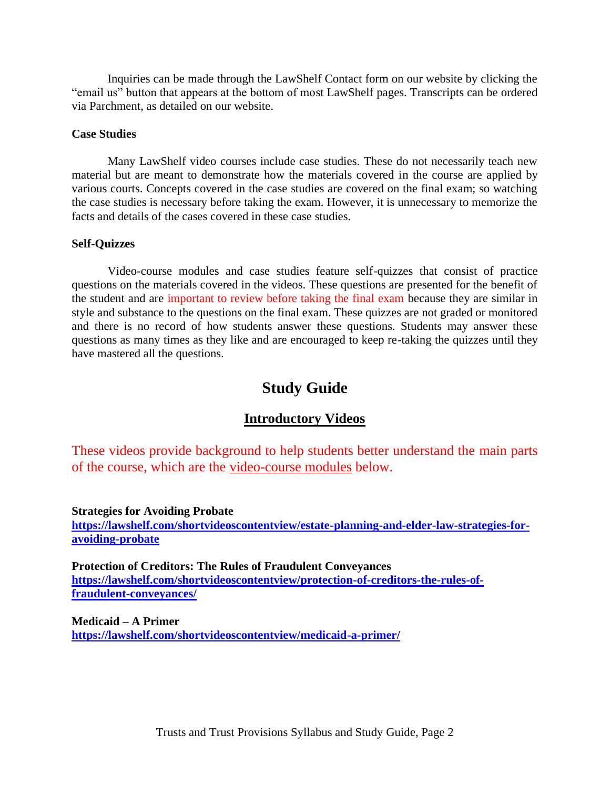Inquiries can be made through the LawShelf Contact form on our website by clicking the "email us" button that appears at the bottom of most LawShelf pages. Transcripts can be ordered via Parchment, as detailed on our website.

#### **Case Studies**

Many LawShelf video courses include case studies. These do not necessarily teach new material but are meant to demonstrate how the materials covered in the course are applied by various courts. Concepts covered in the case studies are covered on the final exam; so watching the case studies is necessary before taking the exam. However, it is unnecessary to memorize the facts and details of the cases covered in these case studies.

#### **Self-Quizzes**

Video-course modules and case studies feature self-quizzes that consist of practice questions on the materials covered in the videos. These questions are presented for the benefit of the student and are important to review before taking the final exam because they are similar in style and substance to the questions on the final exam. These quizzes are not graded or monitored and there is no record of how students answer these questions. Students may answer these questions as many times as they like and are encouraged to keep re-taking the quizzes until they have mastered all the questions.

### **Study Guide**

#### **Introductory Videos**

These videos provide background to help students better understand the main parts of the course, which are the video-course modules below.

#### **Strategies for Avoiding Probate**

**[https://lawshelf.com/shortvideoscontentview/estate-planning-and-elder-law-strategies-for](https://lawshelf.com/shortvideoscontentview/estate-planning-and-elder-law-strategies-for-avoiding-probate)[avoiding-probate](https://lawshelf.com/shortvideoscontentview/estate-planning-and-elder-law-strategies-for-avoiding-probate)**

**Protection of Creditors: The Rules of Fraudulent Conveyances [https://lawshelf.com/shortvideoscontentview/protection-of-creditors-the-rules-of](https://lawshelf.com/shortvideoscontentview/protection-of-creditors-the-rules-of-fraudulent-conveyances/)[fraudulent-conveyances/](https://lawshelf.com/shortvideoscontentview/protection-of-creditors-the-rules-of-fraudulent-conveyances/)**

**Medicaid – A Primer <https://lawshelf.com/shortvideoscontentview/medicaid-a-primer/>**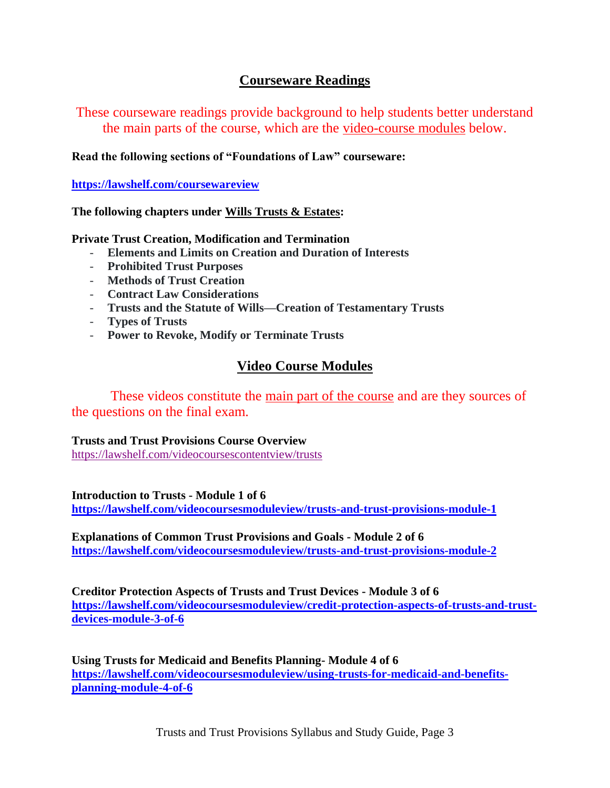## **Courseware Readings**

These courseware readings provide background to help students better understand the main parts of the course, which are the video-course modules below.

**Read the following sections of "Foundations of Law" courseware:**

**<https://lawshelf.com/coursewareview>**

**The following chapters under Wills Trusts & Estates:**

**Private Trust Creation, Modification and Termination**

- **Elements and Limits on Creation and Duration of Interests**
- **Prohibited Trust Purposes**
- **Methods of Trust Creation**
- **Contract Law Considerations**
- **Trusts and the Statute of Wills—Creation of Testamentary Trusts**
- **Types of Trusts**
- **Power to Revoke, Modify or Terminate Trusts**

## **Video Course Modules**

These videos constitute the <u>main part of the course</u> and are they sources of the questions on the final exam.

### **Trusts and Trust Provisions Course Overview**

<https://lawshelf.com/videocoursescontentview/trusts>

**Introduction to Trusts - Module 1 of 6**

**<https://lawshelf.com/videocoursesmoduleview/trusts-and-trust-provisions-module-1>**

**Explanations of Common Trust Provisions and Goals - Module 2 of 6 <https://lawshelf.com/videocoursesmoduleview/trusts-and-trust-provisions-module-2>**

**Creditor Protection Aspects of Trusts and Trust Devices - Module 3 of 6 [https://lawshelf.com/videocoursesmoduleview/credit-protection-aspects-of-trusts-and-trust](https://lawshelf.com/videocoursesmoduleview/credit-protection-aspects-of-trusts-and-trust-devices-module-3-of-6)[devices-module-3-of-6](https://lawshelf.com/videocoursesmoduleview/credit-protection-aspects-of-trusts-and-trust-devices-module-3-of-6)**

**Using Trusts for Medicaid and Benefits Planning- Module 4 of 6 [https://lawshelf.com/videocoursesmoduleview/using-trusts-for-medicaid-and-benefits](https://lawshelf.com/videocoursesmoduleview/using-trusts-for-medicaid-and-benefits-planning-module-4-of-6)[planning-module-4-of-6](https://lawshelf.com/videocoursesmoduleview/using-trusts-for-medicaid-and-benefits-planning-module-4-of-6)**